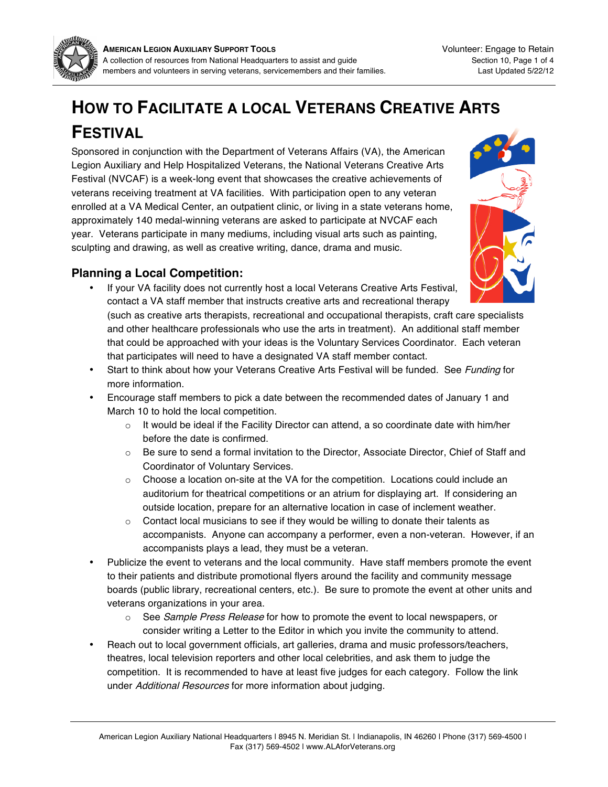

# **HOW TO FACILITATE A LOCAL VETERANS CREATIVE ARTS FESTIVAL**

Sponsored in conjunction with the Department of Veterans Affairs (VA), the American Legion Auxiliary and Help Hospitalized Veterans, the National Veterans Creative Arts Festival (NVCAF) is a week-long event that showcases the creative achievements of veterans receiving treatment at VA facilities. With participation open to any veteran enrolled at a VA Medical Center, an outpatient clinic, or living in a state veterans home, approximately 140 medal-winning veterans are asked to participate at NVCAF each year. Veterans participate in many mediums, including visual arts such as painting, sculpting and drawing, as well as creative writing, dance, drama and music.



### **Planning a Local Competition:**

- If your VA facility does not currently host a local Veterans Creative Arts Festival, contact a VA staff member that instructs creative arts and recreational therapy (such as creative arts therapists, recreational and occupational therapists, craft care specialists and other healthcare professionals who use the arts in treatment). An additional staff member that could be approached with your ideas is the Voluntary Services Coordinator. Each veteran that participates will need to have a designated VA staff member contact.
- Start to think about how your Veterans Creative Arts Festival will be funded. See Funding for more information.
- Encourage staff members to pick a date between the recommended dates of January 1 and March 10 to hold the local competition.
	- $\circ$  It would be ideal if the Facility Director can attend, a so coordinate date with him/her before the date is confirmed.
	- $\circ$  Be sure to send a formal invitation to the Director, Associate Director, Chief of Staff and Coordinator of Voluntary Services.
	- $\circ$  Choose a location on-site at the VA for the competition. Locations could include an auditorium for theatrical competitions or an atrium for displaying art. If considering an outside location, prepare for an alternative location in case of inclement weather.
	- $\circ$  Contact local musicians to see if they would be willing to donate their talents as accompanists. Anyone can accompany a performer, even a non-veteran. However, if an accompanists plays a lead, they must be a veteran.
- Publicize the event to veterans and the local community. Have staff members promote the event to their patients and distribute promotional flyers around the facility and community message boards (public library, recreational centers, etc.). Be sure to promote the event at other units and veterans organizations in your area.
	- o See Sample Press Release for how to promote the event to local newspapers, or consider writing a Letter to the Editor in which you invite the community to attend.
- Reach out to local government officials, art galleries, drama and music professors/teachers, theatres, local television reporters and other local celebrities, and ask them to judge the competition. It is recommended to have at least five judges for each category. Follow the link under Additional Resources for more information about judging.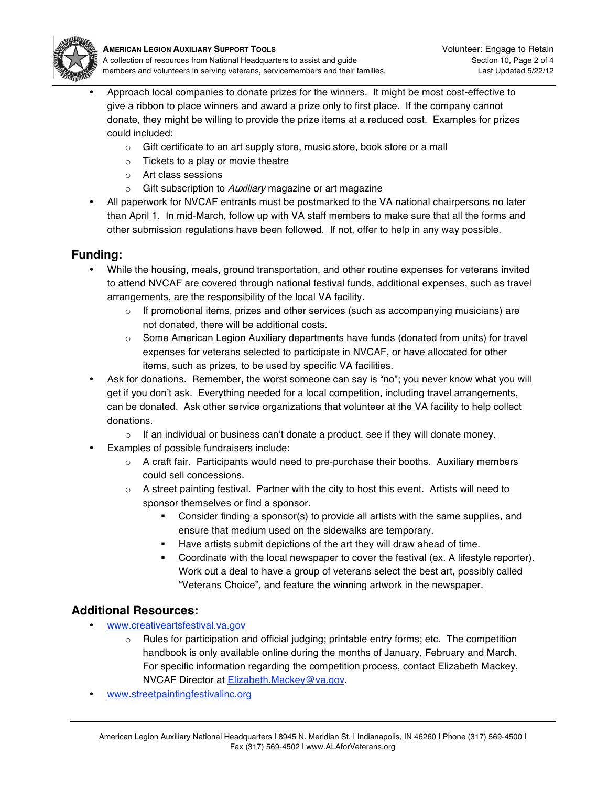

- Approach local companies to donate prizes for the winners. It might be most cost-effective to give a ribbon to place winners and award a prize only to first place. If the company cannot donate, they might be willing to provide the prize items at a reduced cost. Examples for prizes could included:
	- o Gift certificate to an art supply store, music store, book store or a mall
	- o Tickets to a play or movie theatre
	- o Art class sessions
	- $\circ$  Gift subscription to Auxiliary magazine or art magazine
- All paperwork for NVCAF entrants must be postmarked to the VA national chairpersons no later than April 1. In mid-March, follow up with VA staff members to make sure that all the forms and other submission regulations have been followed. If not, offer to help in any way possible.

### **Funding:**

- While the housing, meals, ground transportation, and other routine expenses for veterans invited to attend NVCAF are covered through national festival funds, additional expenses, such as travel arrangements, are the responsibility of the local VA facility.
	- $\circ$  If promotional items, prizes and other services (such as accompanying musicians) are not donated, there will be additional costs.
	- $\circ$  Some American Legion Auxiliary departments have funds (donated from units) for travel expenses for veterans selected to participate in NVCAF, or have allocated for other items, such as prizes, to be used by specific VA facilities.
- Ask for donations. Remember, the worst someone can say is "no"; you never know what you will get if you don't ask. Everything needed for a local competition, including travel arrangements, can be donated. Ask other service organizations that volunteer at the VA facility to help collect donations.
	- $\circ$  If an individual or business can't donate a product, see if they will donate money.
- Examples of possible fundraisers include:
	- $\circ$  A craft fair. Participants would need to pre-purchase their booths. Auxiliary members could sell concessions.
	- $\circ$  A street painting festival. Partner with the city to host this event. Artists will need to sponsor themselves or find a sponsor.
		- Consider finding a sponsor(s) to provide all artists with the same supplies, and ensure that medium used on the sidewalks are temporary.
		- Have artists submit depictions of the art they will draw ahead of time.
		- Coordinate with the local newspaper to cover the festival (ex. A lifestyle reporter). Work out a deal to have a group of veterans select the best art, possibly called "Veterans Choice", and feature the winning artwork in the newspaper.

### **Additional Resources:**

- www.creativeartsfestival.va.gov
	- Rules for participation and official judging; printable entry forms; etc. The competition handbook is only available online during the months of January, February and March. For specific information regarding the competition process, contact Elizabeth Mackey, NVCAF Director at Elizabeth.Mackey@va.gov.
- www.streetpaintingfestivalinc.org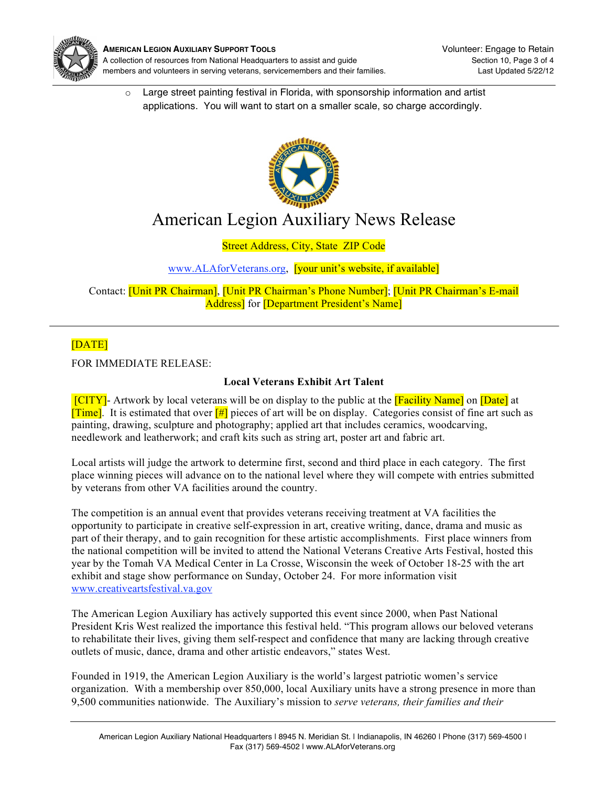

o Large street painting festival in Florida, with sponsorship information and artist applications. You will want to start on a smaller scale, so charge accordingly.



## American Legion Auxiliary News Release

Street Address, City, State ZIP Code

### www.ALAforVeterans.org, [your unit's website, if available]

Contact: [Unit PR Chairman], [Unit PR Chairman's Phone Number]; [Unit PR Chairman's E-mail Address] for [Department President's Name]

### [DATE]

FOR IMMEDIATE RELEASE:

#### **Local Veterans Exhibit Art Talent**

[CITY]- Artwork by local veterans will be on display to the public at the [Facility Name] on [Date] at **[Time]**. It is estimated that over  $\frac{f}{f}$  pieces of art will be on display. Categories consist of fine art such as painting, drawing, sculpture and photography; applied art that includes ceramics, woodcarving, needlework and leatherwork; and craft kits such as string art, poster art and fabric art.

Local artists will judge the artwork to determine first, second and third place in each category. The first place winning pieces will advance on to the national level where they will compete with entries submitted by veterans from other VA facilities around the country.

The competition is an annual event that provides veterans receiving treatment at VA facilities the opportunity to participate in creative self-expression in art, creative writing, dance, drama and music as part of their therapy, and to gain recognition for these artistic accomplishments. First place winners from the national competition will be invited to attend the National Veterans Creative Arts Festival, hosted this year by the Tomah VA Medical Center in La Crosse, Wisconsin the week of October 18-25 with the art exhibit and stage show performance on Sunday, October 24. For more information visit www.creativeartsfestival.va.gov

The American Legion Auxiliary has actively supported this event since 2000, when Past National President Kris West realized the importance this festival held. "This program allows our beloved veterans to rehabilitate their lives, giving them self-respect and confidence that many are lacking through creative outlets of music, dance, drama and other artistic endeavors," states West.

Founded in 1919, the American Legion Auxiliary is the world's largest patriotic women's service organization. With a membership over 850,000, local Auxiliary units have a strong presence in more than 9,500 communities nationwide. The Auxiliary's mission to *serve veterans, their families and their*